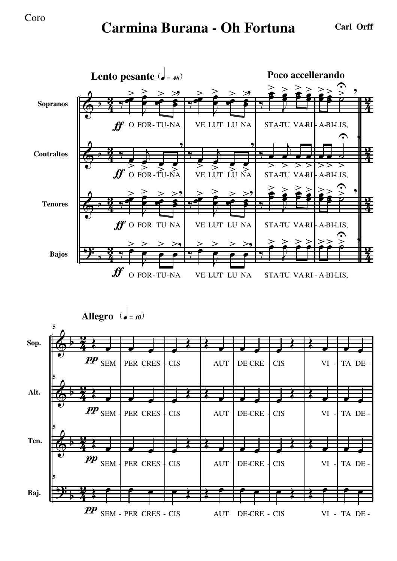## **Carmina Burana - Oh Fortuna Carl Orff**

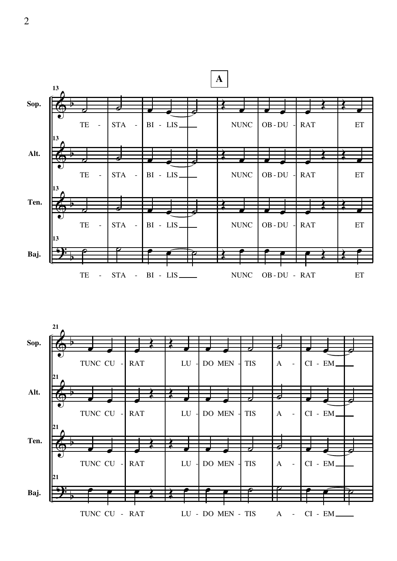

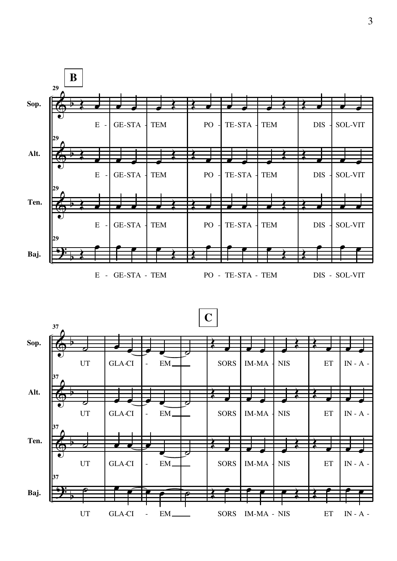

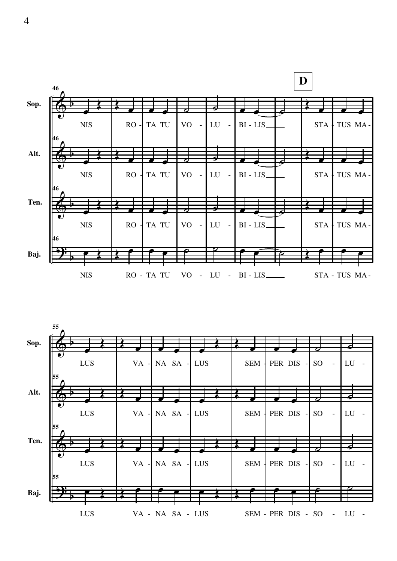

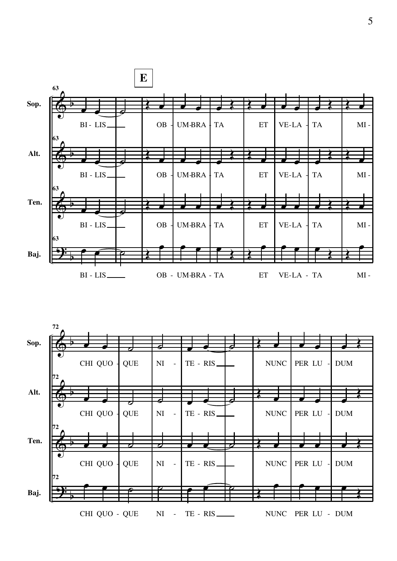

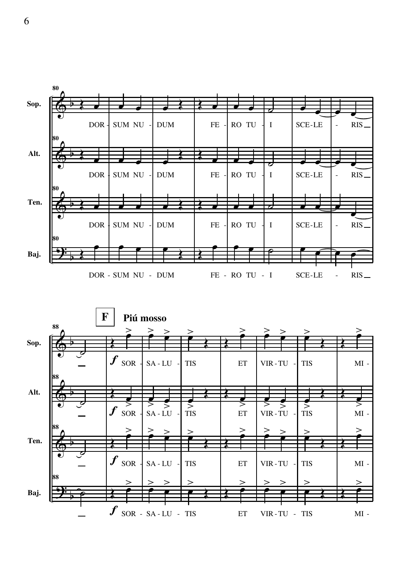

 $f$  sor - sa - LU - TIS ET VIR-TU -ET VIR-TU - TIS MI -

**80**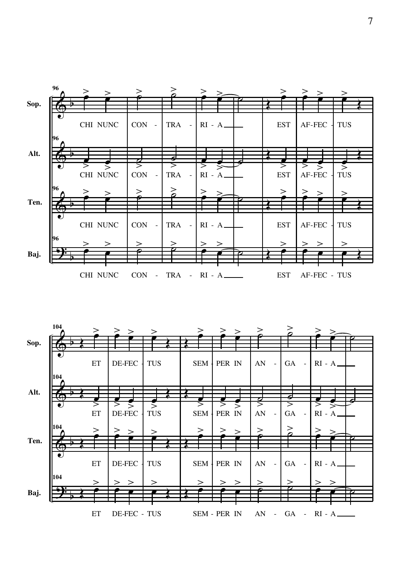

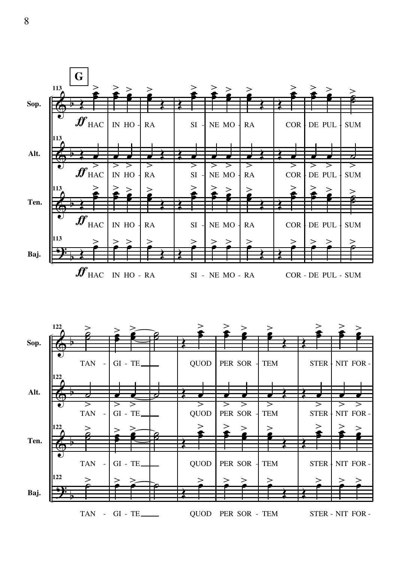